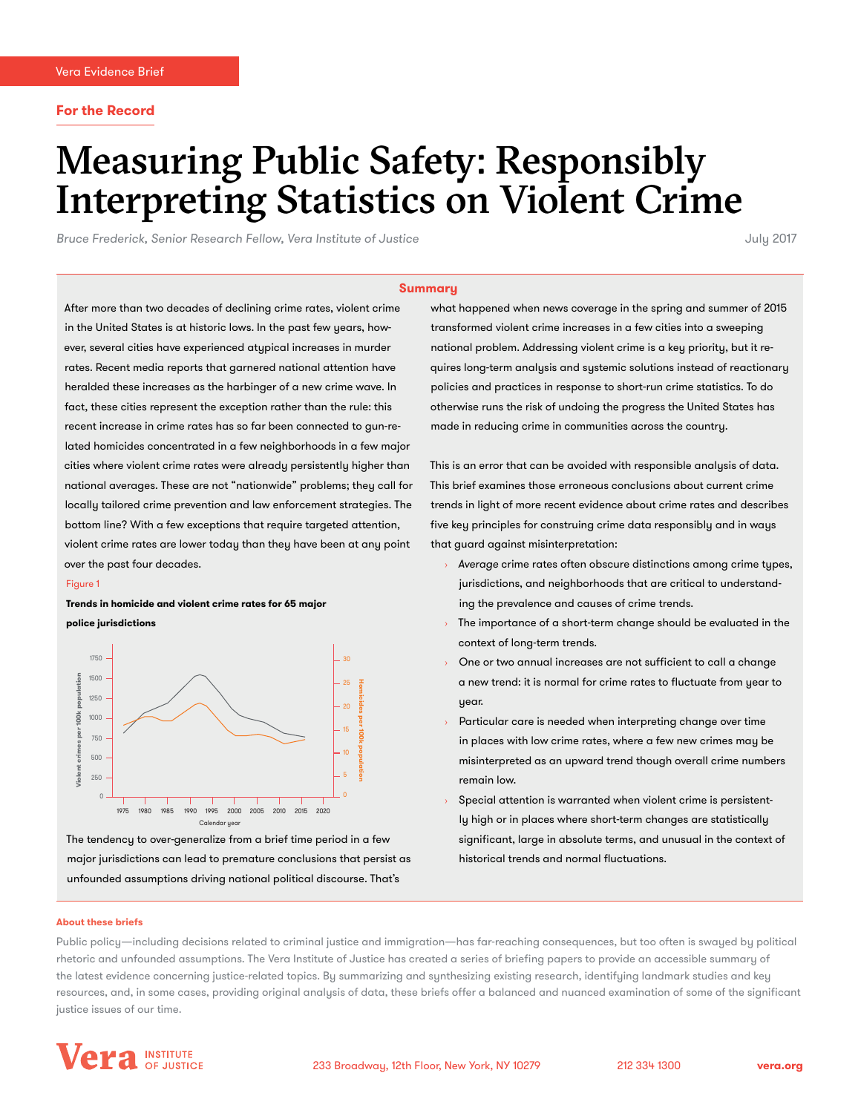# Measuring Public Safety: Responsibly Interpreting Statistics on Violent Crime

*Bruce Frederick, Senior Research Fellow, Vera Institute of Justice* July 2017

#### **Summary**

After more than two decades of declining crime rates, violent crime in the United States is at historic lows. In the past few years, however, several cities have experienced atypical increases in murder rates. Recent media reports that garnered national attention have heralded these increases as the harbinger of a new crime wave. In fact, these cities represent the exception rather than the rule: this recent increase in crime rates has so far been connected to gun-related homicides concentrated in a few neighborhoods in a few major cities where violent crime rates were already persistently higher than national averages. These are not "nationwide" problems; they call for locally tailored crime prevention and law enforcement strategies. The bottom line? With a few exceptions that require targeted attention, violent crime rates are lower today than they have been at any point over the past four decades.

#### Figure 1

**Trends in homicide and violent crime rates for 65 major** 

**police jurisdictions**



The tendency to over-generalize from a brief time period in a few major jurisdictions can lead to premature conclusions that persist as unfounded assumptions driving national political discourse. That's

what happened when news coverage in the spring and summer of 2015 transformed violent crime increases in a few cities into a sweeping national problem. Addressing violent crime is a key priority, but it requires long-term analysis and systemic solutions instead of reactionary policies and practices in response to short-run crime statistics. To do otherwise runs the risk of undoing the progress the United States has made in reducing crime in communities across the country.

This is an error that can be avoided with responsible analysis of data. This brief examines those erroneous conclusions about current crime trends in light of more recent evidence about crime rates and describes five key principles for construing crime data responsibly and in ways that guard against misinterpretation:

- › *Average* crime rates often obscure distinctions among crime types, jurisdictions, and neighborhoods that are critical to understanding the prevalence and causes of crime trends.
- The importance of a short-term change should be evaluated in the context of long-term trends.
- › One or two annual increases are not sufficient to call a change a new trend: it is normal for crime rates to fluctuate from year to uear.
- Particular care is needed when interpreting change over time in places with low crime rates, where a few new crimes may be misinterpreted as an upward trend though overall crime numbers remain low.
- Special attention is warranted when violent crime is persistently high or in places where short-term changes are statistically significant, large in absolute terms, and unusual in the context of historical trends and normal fluctuations.

#### **About these briefs**

Public policy—including decisions related to criminal justice and immigration—has far-reaching consequences, but too often is swayed by political rhetoric and unfounded assumptions. The Vera Institute of Justice has created a series of briefing papers to provide an accessible summary of the latest evidence concerning justice-related topics. By summarizing and synthesizing existing research, identifying landmark studies and key resources, and, in some cases, providing original analysis of data, these briefs offer a balanced and nuanced examination of some of the significant justice issues of our time.

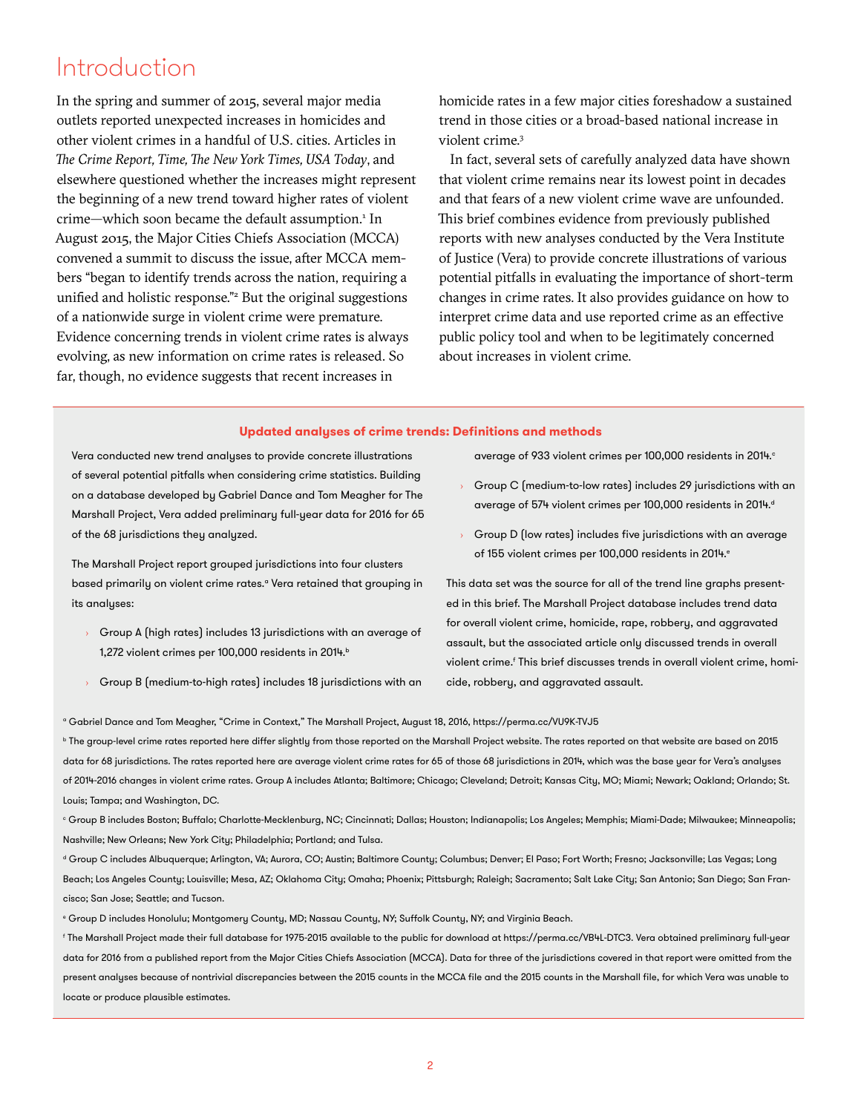### Introduction

In the spring and summer of 2015, several major media outlets reported unexpected increases in homicides and other violent crimes in a handful of U.S. cities. Articles in *The Crime Report, Time, The New York Times, USA Today*, and elsewhere questioned whether the increases might represent the beginning of a new trend toward higher rates of violent crime—which soon became the default assumption.<sup>1</sup> In August 2015, the Major Cities Chiefs Association (MCCA) convened a summit to discuss the issue, after MCCA members "began to identify trends across the nation, requiring a unified and holistic response."<sup>2</sup> But the original suggestions of a nationwide surge in violent crime were premature. Evidence concerning trends in violent crime rates is always evolving, as new information on crime rates is released. So far, though, no evidence suggests that recent increases in

homicide rates in a few major cities foreshadow a sustained trend in those cities or a broad-based national increase in violent crime.3

In fact, several sets of carefully analyzed data have shown that violent crime remains near its lowest point in decades and that fears of a new violent crime wave are unfounded. This brief combines evidence from previously published reports with new analyses conducted by the Vera Institute of Justice (Vera) to provide concrete illustrations of various potential pitfalls in evaluating the importance of short-term changes in crime rates. It also provides guidance on how to interpret crime data and use reported crime as an effective public policy tool and when to be legitimately concerned about increases in violent crime.

### **Updated analyses of crime trends: Definitions and methods**

Vera conducted new trend analyses to provide concrete illustrations of several potential pitfalls when considering crime statistics. Building on a database developed by Gabriel Dance and Tom Meagher for The Marshall Project, Vera added preliminary full-year data for 2016 for 65 of the 68 jurisdictions they analyzed.

The Marshall Project report grouped jurisdictions into four clusters based primarily on violent crime rates.<sup>a</sup> Vera retained that grouping in its analyses:

- Group A (high rates) includes 13 jurisdictions with an average of 1,272 violent crimes per 100,000 residents in 2014.b
- Group B (medium-to-high rates) includes 18 jurisdictions with an

average of 933 violent crimes per 100,000 residents in 2014.<sup>c</sup>

- Group C (medium-to-low rates) includes 29 jurisdictions with an average of 574 violent crimes per 100,000 residents in 2014.d
- $\rightarrow$  Group D (low rates) includes five jurisdictions with an average of 155 violent crimes per 100,000 residents in 2014.<sup>e</sup>

This data set was the source for all of the trend line graphs presented in this brief. The Marshall Project database includes trend data for overall violent crime, homicide, rape, robbery, and aggravated assault, but the associated article only discussed trends in overall violent crime.<sup>f</sup> This brief discusses trends in overall violent crime, homicide, robbery, and aggravated assault.

a Gabriel Dance and Tom Meagher, "Crime in Context," The Marshall Project, August 18, 2016,<https://perma.cc/VU9K-TVJ5>

**b** The group-level crime rates reported here differ slightly from those reported on the Marshall Project website. The rates reported on that website are based on 2015 data for 68 jurisdictions. The rates reported here are average violent crime rates for 65 of those 68 jurisdictions in 2014, which was the base year for Vera's analyses of 2014-2016 changes in violent crime rates. Group A includes Atlanta; Baltimore; Chicago; Cleveland; Detroit; Kansas City, MO; Miami; Newark; Oakland; Orlando; St. Louis; Tampa; and Washington, DC.

 $^\circ$  Group B includes Boston; Buffalo; Charlotte-Mecklenburg, NC; Cincinnati; Dallas; Houston; Indianapolis; Los Angeles; Memphis; Miami-Dade; Milwaukee; Minneapolis; Nashville; New Orleans; New York City; Philadelphia; Portland; and Tulsa.

d Group C includes Albuquerque; Arlington, VA; Aurora, CO; Austin; Baltimore County; Columbus; Denver; El Paso; Fort Worth; Fresno; Jacksonville; Las Vegas; Long Beach; Los Angeles County; Louisville; Mesa, AZ; Oklahoma City; Omaha; Phoenix; Pittsburgh; Raleigh; Sacramento; Salt Lake City; San Antonio; San Diego; San Francisco; San Jose; Seattle; and Tucson.

e Group D includes Honolulu; Montgomery County, MD; Nassau County, NY; Suffolk County, NY; and Virginia Beach.

f The Marshall Project made their full database for 1975-2015 available to the public for download at [https://perma.cc/VB4L-DTC3.](https://perma.cc/VB4L-DTC3) Vera obtained preliminary full-year data for 2016 from a published report from the Major Cities Chiefs Association (MCCA). Data for three of the jurisdictions covered in that report were omitted from the present analyses because of nontrivial discrepancies between the 2015 counts in the MCCA file and the 2015 counts in the Marshall file, for which Vera was unable to locate or produce plausible estimates.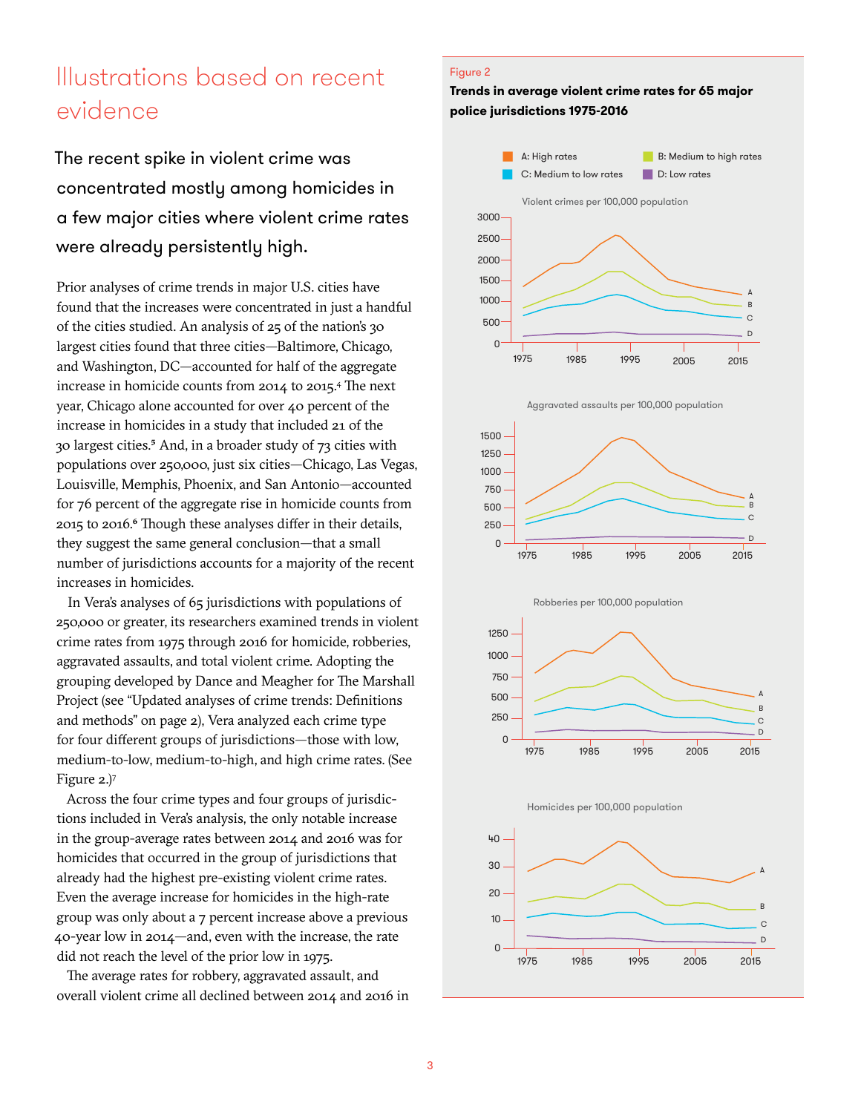## Illustrations based on recent evidence

The recent spike in violent crime was concentrated mostly among homicides in a few major cities where violent crime rates were already persistently high.

Prior analyses of crime trends in major U.S. cities have found that the increases were concentrated in just a handful of the cities studied. An analysis of 25 of the nation's 30 largest cities found that three cities—Baltimore, Chicago, and Washington, DC—accounted for half of the aggregate increase in homicide counts from 2014 to 2015.4 The next year, Chicago alone accounted for over 40 percent of the increase in homicides in a study that included 21 of the 30 largest cities.5 And, in a broader study of 73 cities with populations over 250,000, just six cities—Chicago, Las Vegas, Louisville, Memphis, Phoenix, and San Antonio—accounted for 76 percent of the aggregate rise in homicide counts from 2015 to 2016.6 Though these analyses differ in their details, they suggest the same general conclusion—that a small number of jurisdictions accounts for a majority of the recent increases in homicides.

In Vera's analyses of 65 jurisdictions with populations of 250,000 or greater, its researchers examined trends in violent crime rates from 1975 through 2016 for homicide, robberies, aggravated assaults, and total violent crime. Adopting the grouping developed by Dance and Meagher for The Marshall Project (see "Updated analyses of crime trends: Definitions and methods" on page 2), Vera analyzed each crime type for four different groups of jurisdictions—those with low, medium-to-low, medium-to-high, and high crime rates. (See Figure 2.)7

Across the four crime types and four groups of jurisdictions included in Vera's analysis, the only notable increase in the group-average rates between 2014 and 2016 was for homicides that occurred in the group of jurisdictions that already had the highest pre-existing violent crime rates. Even the average increase for homicides in the high-rate group was only about a 7 percent increase above a previous 40-year low in 2014—and, even with the increase, the rate did not reach the level of the prior low in 1975.

The average rates for robbery, aggravated assault, and overall violent crime all declined between 2014 and 2016 in

### Figure 2

### **Trends in average violent crime rates for 65 major police jurisdictions 1975-2016**













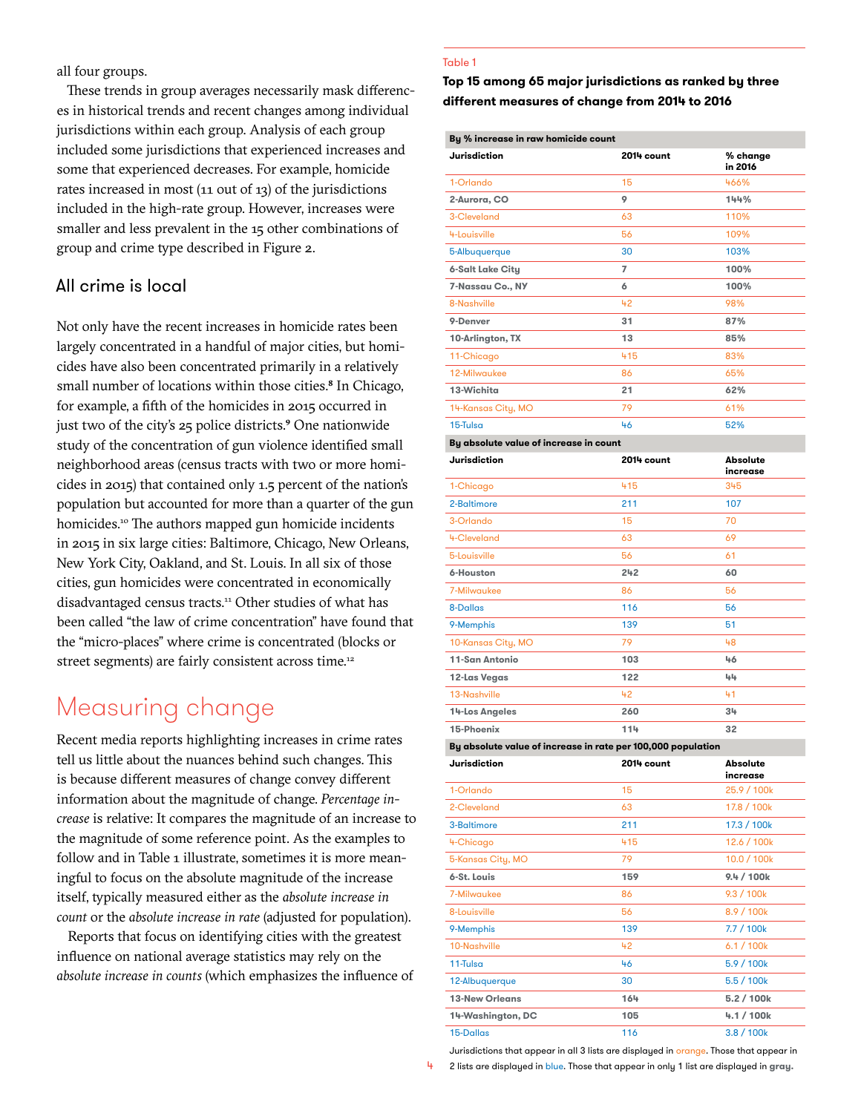all four groups.

These trends in group averages necessarily mask differences in historical trends and recent changes among individual jurisdictions within each group. Analysis of each group included some jurisdictions that experienced increases and some that experienced decreases. For example, homicide rates increased in most (11 out of 13) of the jurisdictions included in the high-rate group. However, increases were smaller and less prevalent in the 15 other combinations of group and crime type described in Figure 2.

### All crime is local

Not only have the recent increases in homicide rates been largely concentrated in a handful of major cities, but homicides have also been concentrated primarily in a relatively small number of locations within those cities.<sup>8</sup> In Chicago, for example, a fifth of the homicides in 2015 occurred in just two of the city's 25 police districts.<sup>9</sup> One nationwide study of the concentration of gun violence identified small neighborhood areas (census tracts with two or more homicides in 2015) that contained only 1.5 percent of the nation's population but accounted for more than a quarter of the gun homicides.<sup>10</sup> The authors mapped gun homicide incidents in 2015 in six large cities: Baltimore, Chicago, New Orleans, New York City, Oakland, and St. Louis. In all six of those cities, gun homicides were concentrated in economically disadvantaged census tracts.<sup>11</sup> Other studies of what has been called "the law of crime concentration" have found that the "micro-places" where crime is concentrated (blocks or street segments) are fairly consistent across time.<sup>12</sup>

### Measuring change

Recent media reports highlighting increases in crime rates tell us little about the nuances behind such changes. This is because different measures of change convey different information about the magnitude of change. *Percentage increase* is relative: It compares the magnitude of an increase to the magnitude of some reference point. As the examples to follow and in Table 1 illustrate, sometimes it is more meaningful to focus on the absolute magnitude of the increase itself, typically measured either as the *absolute increase in count* or the *absolute increase in rate* (adjusted for population).

Reports that focus on identifying cities with the greatest influence on national average statistics may rely on the *absolute increase in counts* (which emphasizes the influence of

### Table 1

**Top 15 among 65 major jurisdictions as ranked by three different measures of change from 2014 to 2016**

| By % increase in raw homicide count                          |            |                             |
|--------------------------------------------------------------|------------|-----------------------------|
| <b>Jurisdiction</b>                                          | 2014 count | % change<br>in 2016         |
| 1-Orlando                                                    | 15         | 466%                        |
| 2-Aurora, CO                                                 | 9          | 144%                        |
| 3-Cleveland                                                  | 63         | 110%                        |
| 4-Louisville                                                 | 56         | 109%                        |
| 5-Albuquerque                                                | 30         | 103%                        |
| <b>6-Salt Lake City</b>                                      | 7          | 100%                        |
| 7-Nassau Co., NY                                             | 6          | 100%                        |
| 8-Nashville                                                  | 42         | 98%                         |
| 9-Denver                                                     | 31         | 87%                         |
| 10-Arlington, TX                                             | 13         | 85%                         |
| 11-Chicago                                                   | 415        | 83%                         |
| 12-Milwaukee                                                 | 86         | 65%                         |
| 13-Wichita                                                   | 21         | 62%                         |
| 14-Kansas City, MO                                           | 79         | 61%                         |
| 15-Tulsa                                                     | 46         | 52%                         |
| By absolute value of increase in count                       |            |                             |
| <b>Jurisdiction</b>                                          | 2014 count | <b>Absolute</b><br>increase |
| 1-Chicago                                                    | 415        | 345                         |
| 2-Baltimore                                                  | 211        | 107                         |
| 3-Orlando                                                    | 15         | 70                          |
| 4-Cleveland                                                  | 63         | 69                          |
| 5-Louisville                                                 | 56         | 61                          |
| 6-Houston                                                    | 242        | 60                          |
| 7-Milwaukee                                                  | 86         | 56                          |
| 8-Dallas                                                     | 116        | 56                          |
| 9-Memphis                                                    | 139        | 51                          |
| 10-Kansas City, MO                                           | 79         | 48                          |
| 11-San Antonio                                               | 103        | 46                          |
| 12-Las Vegas                                                 | 122        | 44                          |
| 13-Nashville                                                 | 42         | 41                          |
| 14-Los Angeles                                               | 260        | $3+$                        |
| 15-Phoenix                                                   | 114        | 32                          |
| By absolute value of increase in rate per 100,000 population |            |                             |
| Jurisdiction                                                 | 2014 count | <b>Absolute</b><br>increase |
| 1-Orlando                                                    | 15         | 25.9 / 100k                 |
| 2-Cleveland                                                  | 63         | 17.8 / 100k                 |
| 3-Baltimore                                                  | 211        | 17.3 / 100k                 |
| 4-Chicago                                                    | 415        | 12.6 / 100k                 |
| 5-Kansas City, MO                                            | 79         | 10.0 / 100k                 |
| 6-St. Louis                                                  | 159        | 9.4 / 100k                  |
| 7-Milwaukee                                                  | 86         | 9.3 / 100k                  |
| 8-Louisville                                                 | 56         | 8.9 / 100k                  |
| 9-Memphis                                                    | 139        | 7.7 / 100k                  |
| 10-Nashville                                                 | 42         | 6.1 / 100k                  |
| 11-Tulsa                                                     | 46         | 5.9 / 100k                  |
| 12-Albuquerque                                               | 30         | 5.5 / 100k                  |
| <b>13-New Orleans</b>                                        | 164        | 5.2 / 100k                  |
| 14-Washington, DC                                            | 105        | 4.1 / 100k                  |
| 15-Dallas                                                    | 116        | 3.8 / 100k                  |

Jurisdictions that appear in all 3 lists are displayed in orange. Those that appear in

4 2 lists are displayed in blue. Those that appear in only 1 list are displayed in **gray.**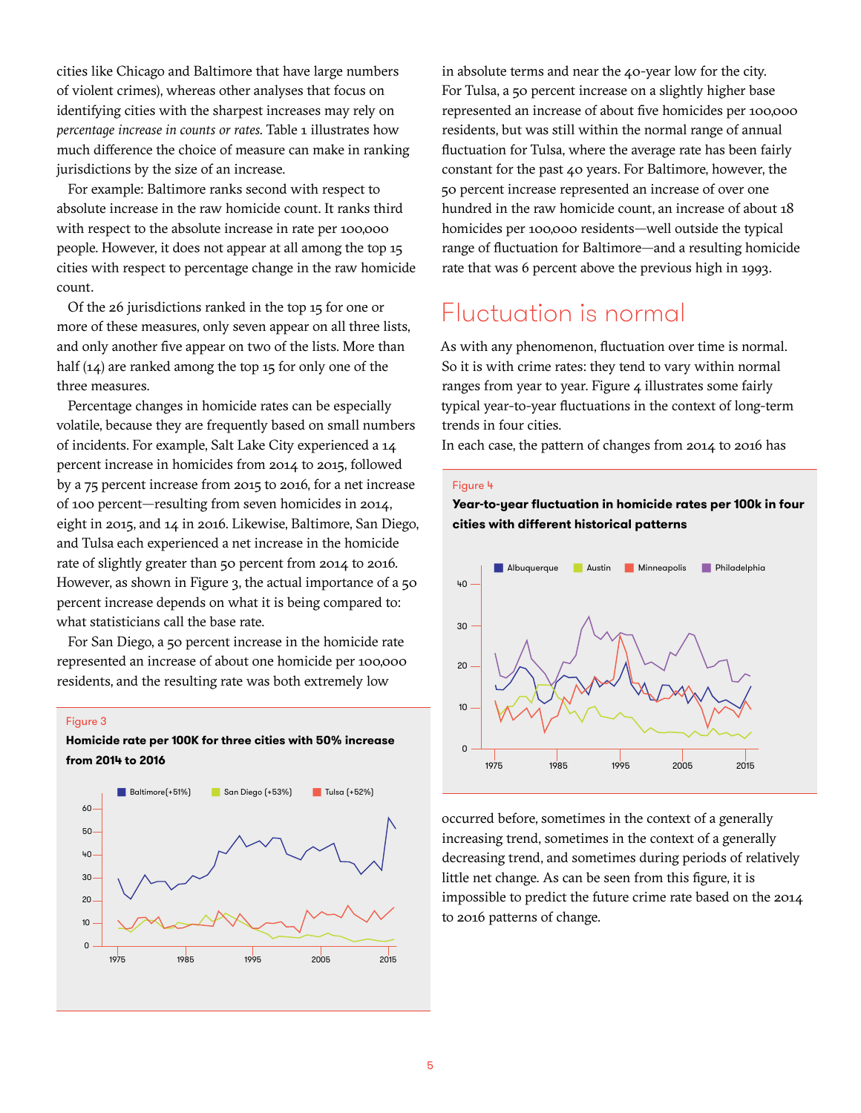cities like Chicago and Baltimore that have large numbers of violent crimes), whereas other analyses that focus on identifying cities with the sharpest increases may rely on *percentage increase in counts or rates.* Table 1 illustrates how much difference the choice of measure can make in ranking jurisdictions by the size of an increase.

For example: Baltimore ranks second with respect to absolute increase in the raw homicide count. It ranks third with respect to the absolute increase in rate per 100,000 people. However, it does not appear at all among the top 15 cities with respect to percentage change in the raw homicide count.

Of the 26 jurisdictions ranked in the top 15 for one or more of these measures, only seven appear on all three lists, and only another five appear on two of the lists. More than half (14) are ranked among the top 15 for only one of the three measures.

Percentage changes in homicide rates can be especially volatile, because they are frequently based on small numbers of incidents. For example, Salt Lake City experienced a 14 percent increase in homicides from 2014 to 2015, followed by a 75 percent increase from 2015 to 2016, for a net increase of 100 percent—resulting from seven homicides in 2014, eight in 2015, and 14 in 2016. Likewise, Baltimore, San Diego, and Tulsa each experienced a net increase in the homicide rate of slightly greater than 50 percent from 2014 to 2016. However, as shown in Figure 3, the actual importance of a 50 percent increase depends on what it is being compared to: what statisticians call the base rate.

For San Diego, a 50 percent increase in the homicide rate represented an increase of about one homicide per 100,000 residents, and the resulting rate was both extremely low

#### Figure 3

### **Homicide rate per 100K for three cities with 50% increase from 2014 to 2016**



in absolute terms and near the 40-year low for the city. For Tulsa, a 50 percent increase on a slightly higher base represented an increase of about five homicides per 100,000 residents, but was still within the normal range of annual fluctuation for Tulsa, where the average rate has been fairly constant for the past 40 years. For Baltimore, however, the 50 percent increase represented an increase of over one hundred in the raw homicide count, an increase of about 18 homicides per 100,000 residents—well outside the typical range of fluctuation for Baltimore—and a resulting homicide rate that was 6 percent above the previous high in 1993.

### Fluctuation is normal

As with any phenomenon, fluctuation over time is normal. So it is with crime rates: they tend to vary within normal ranges from year to year. Figure 4 illustrates some fairly typical year-to-year fluctuations in the context of long-term trends in four cities.

In each case, the pattern of changes from 2014 to 2016 has

### Figure 4

**Year-to-year fluctuation in homicide rates per 100k in four cities with different historical patterns**



occurred before, sometimes in the context of a generally increasing trend, sometimes in the context of a generally decreasing trend, and sometimes during periods of relatively little net change. As can be seen from this figure, it is impossible to predict the future crime rate based on the 2014 to 2016 patterns of change.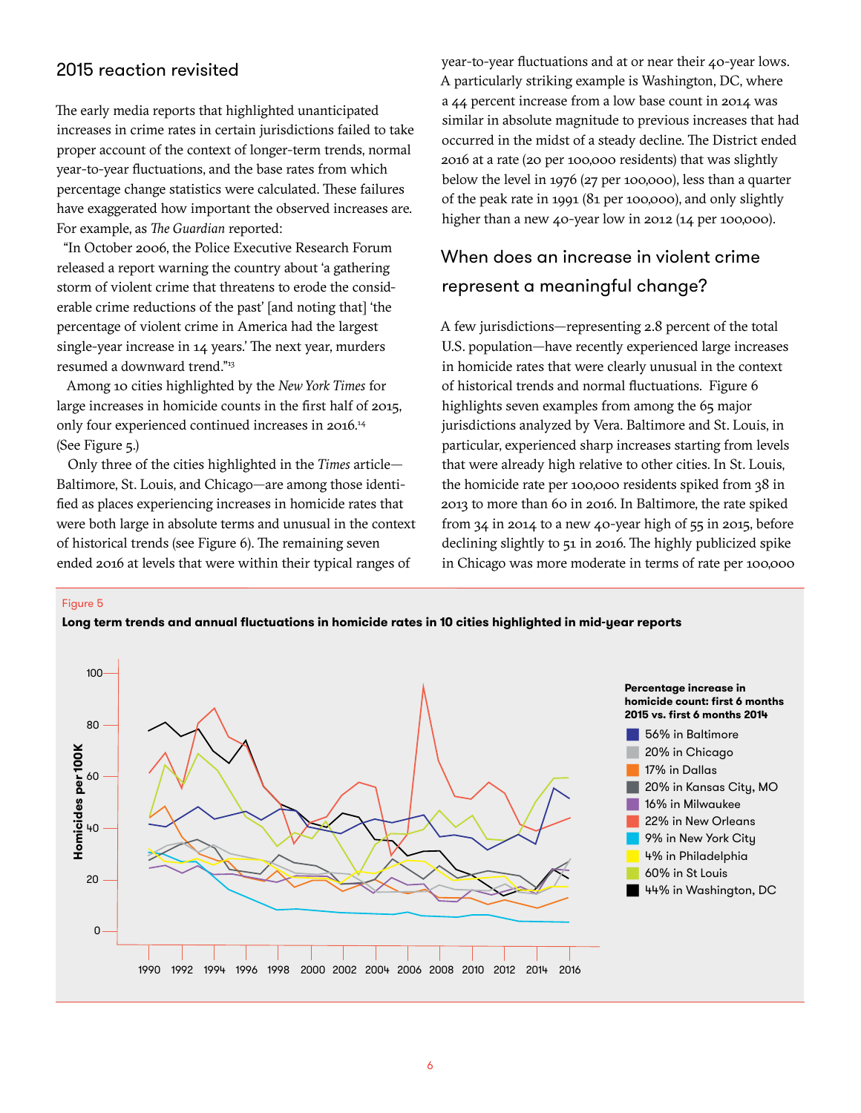### 2015 reaction revisited

The early media reports that highlighted unanticipated increases in crime rates in certain jurisdictions failed to take proper account of the context of longer-term trends, normal year-to-year fluctuations, and the base rates from which percentage change statistics were calculated. These failures have exaggerated how important the observed increases are. For example, as *The Guardian* reported:

"In October 2006, the Police Executive Research Forum released a report warning the country about 'a gathering storm of violent crime that threatens to erode the considerable crime reductions of the past' [and noting that] 'the percentage of violent crime in America had the largest single-year increase in 14 years.' The next year, murders resumed a downward trend."13

Among 10 cities highlighted by the *New York Times* for large increases in homicide counts in the first half of 2015, only four experienced continued increases in 2016.14 (See Figure 5.)

Only three of the cities highlighted in the *Times* article— Baltimore, St. Louis, and Chicago—are among those identified as places experiencing increases in homicide rates that were both large in absolute terms and unusual in the context of historical trends (see Figure 6). The remaining seven ended 2016 at levels that were within their typical ranges of

year-to-year fluctuations and at or near their 40-year lows. A particularly striking example is Washington, DC, where a 44 percent increase from a low base count in 2014 was similar in absolute magnitude to previous increases that had occurred in the midst of a steady decline. The District ended 2016 at a rate (20 per 100,000 residents) that was slightly below the level in 1976 (27 per 100,000), less than a quarter of the peak rate in 1991 (81 per 100,000), and only slightly higher than a new 40-year low in 2012 (14 per 100,000).

### When does an increase in violent crime represent a meaningful change?

A few jurisdictions—representing 2.8 percent of the total U.S. population—have recently experienced large increases in homicide rates that were clearly unusual in the context of historical trends and normal fluctuations. Figure 6 highlights seven examples from among the 65 major jurisdictions analyzed by Vera. Baltimore and St. Louis, in particular, experienced sharp increases starting from levels that were already high relative to other cities. In St. Louis, the homicide rate per 100,000 residents spiked from 38 in 2013 to more than 60 in 2016. In Baltimore, the rate spiked from  $34$  in 2014 to a new 40-year high of  $55$  in 2015, before declining slightly to 51 in 2016. The highly publicized spike in Chicago was more moderate in terms of rate per 100,000

Figure 5



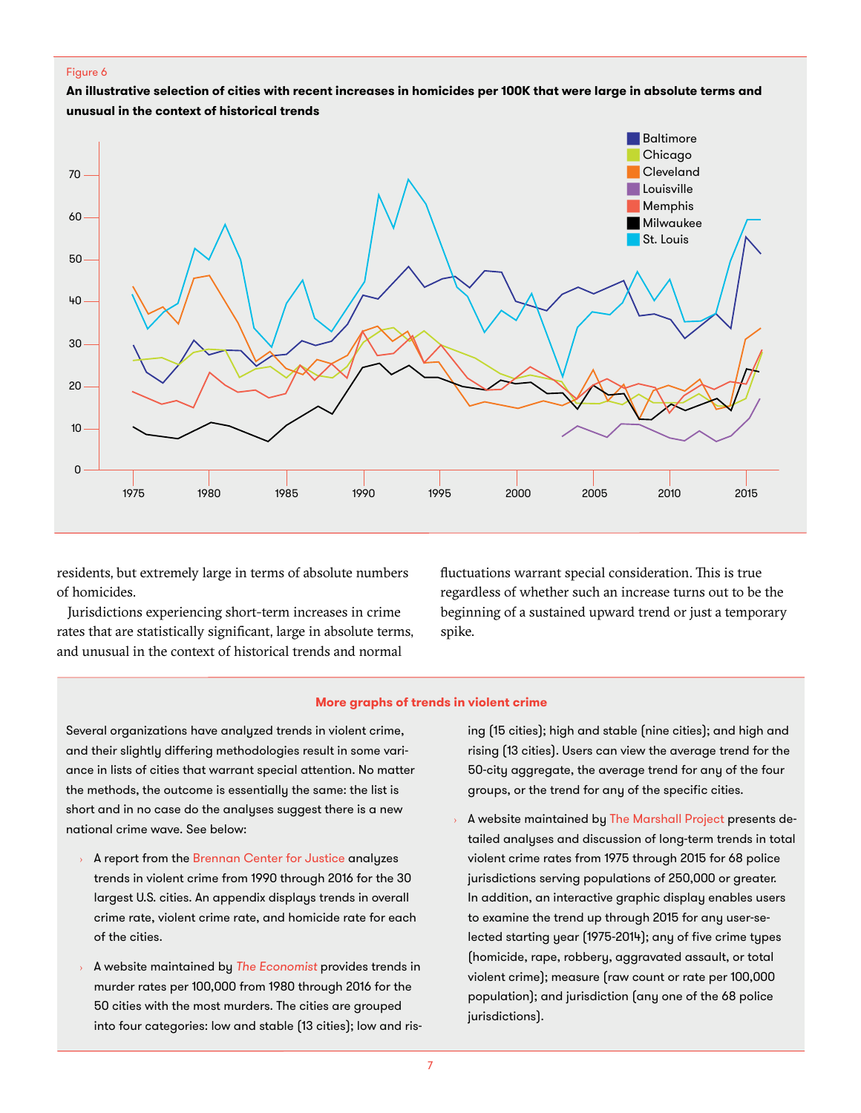### Figure 6

**An illustrative selection of cities with recent increases in homicides per 100K that were large in absolute terms and unusual in the context of historical trends**



residents, but extremely large in terms of absolute numbers of homicides.

Jurisdictions experiencing short-term increases in crime rates that are statistically significant, large in absolute terms, and unusual in the context of historical trends and normal

fluctuations warrant special consideration. This is true regardless of whether such an increase turns out to be the beginning of a sustained upward trend or just a temporary spike.

### **More graphs of trends in violent crime**

Several organizations have analyzed trends in violent crime, and their slightly differing methodologies result in some variance in lists of cities that warrant special attention. No matter the methods, the outcome is essentially the same: the list is short and in no case do the analyses suggest there is a new national crime wave. See below:

- A report from the [Brennan Center for Justice](https://www.brennancenter.org/sites/default/files/publications/Crime%20Trends%201990-2016.pdf) analyzes trends in violent crime from 1990 through 2016 for the 30 largest U.S. cities. An appendix displays trends in overall crime rate, violent crime rate, and homicide rate for each of the cities.
- › A website maintained by *[The Economist](https://www.economist.com/blogs/graphicdetail/2017/02/daily-chart-3)* provides trends in murder rates per 100,000 from 1980 through 2016 for the 50 cities with the most murders. The cities are grouped into four categories: low and stable (13 cities); low and ris-

ing (15 cities); high and stable (nine cities); and high and rising (13 cities). Users can view the average trend for the 50-city aggregate, the average trend for any of the four groups, or the trend for any of the specific cities.

A website maintained by [The Marshall Project](https://www.themarshallproject.org/2016/08/18/crime-in-context#.n8cSgcX1M) presents detailed analyses and discussion of long-term trends in total violent crime rates from 1975 through 2015 for 68 police jurisdictions serving populations of 250,000 or greater. In addition, an interactive graphic display enables users to examine the trend up through 2015 for any user-selected starting year (1975-2014); any of five crime types (homicide, rape, robbery, aggravated assault, or total violent crime); measure (raw count or rate per 100,000 population); and jurisdiction (any one of the 68 police jurisdictions).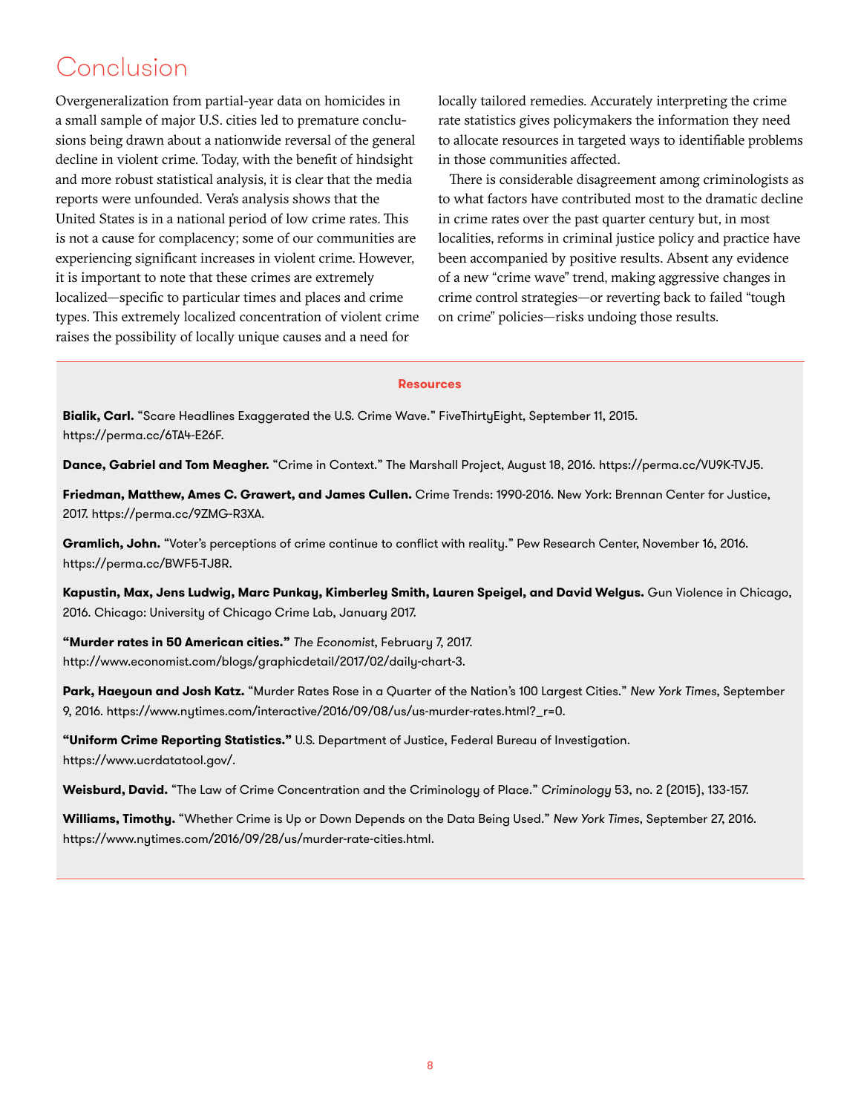# Conclusion

Overgeneralization from partial-year data on homicides in a small sample of major U.S. cities led to premature conclusions being drawn about a nationwide reversal of the general decline in violent crime. Today, with the benefit of hindsight and more robust statistical analysis, it is clear that the media reports were unfounded. Vera's analysis shows that the United States is in a national period of low crime rates. This is not a cause for complacency; some of our communities are experiencing significant increases in violent crime. However, it is important to note that these crimes are extremely localized—specific to particular times and places and crime types. This extremely localized concentration of violent crime raises the possibility of locally unique causes and a need for

locally tailored remedies. Accurately interpreting the crime rate statistics gives policymakers the information they need to allocate resources in targeted ways to identifiable problems in those communities affected.

There is considerable disagreement among criminologists as to what factors have contributed most to the dramatic decline in crime rates over the past quarter century but, in most localities, reforms in criminal justice policy and practice have been accompanied by positive results. Absent any evidence of a new "crime wave" trend, making aggressive changes in crime control strategies—or reverting back to failed "tough on crime" policies—risks undoing those results.

### **Descurses**

**Bialik, Carl.** "Scare Headlines Exaggerated the U.S. Crime Wave." FiveThirtyEight, September 11, 2015. [https://perma.cc/6TA4-E26F.](https://perma.cc/6TA4-E26F)

**Dance, Gabriel and Tom Meagher.** "Crime in Context." The Marshall Project, August 18, 2016. [https://perma.cc/VU9K-TVJ5.](https://perma.cc/VU9K-TVJ5)

**Friedman, Matthew, Ames C. Grawert, and James Cullen.** Crime Trends: 1990-2016. New York: Brennan Center for Justice, 2017. [https://perma.cc/9ZMG-R3XA.](https://perma.cc/9ZMG-R3XA)

**Gramlich, John.** "Voter's perceptions of crime continue to conflict with reality." Pew Research Center, November 16, 2016. [https://perma.cc/BWF5-TJ8R.](https://perma.cc/BWF5-TJ8R)

**Kapustin, Max, Jens Ludwig, Marc Punkay, Kimberley Smith, Lauren Speigel, and David Welgus.** Gun Violence in Chicago, 2016. Chicago: University of Chicago Crime Lab, January 2017.

**"Murder rates in 50 American cities."** *The Economist*, February 7, 2017. [http://www.economist.com/blogs/graphicdetail/2017/02/daily](http://www.economist.com/blogs/graphicdetail/2017/02/daily-chart-3)-chart-3.

**Park, Haeyoun and Josh Katz.** "Murder Rates Rose in a Quarter of the Nation's 100 Largest Cities." *New York Times*, September 9, 2016. [https://www.nytimes.com/interactive/2016/09/08/us/us-murder-rates.html?\\_r=0.](https://www.nytimes.com/interactive/2016/09/08/us/us-murder-rates.html?_r=0.)

**"Uniform Crime Reporting Statistics."** U.S. Department of Justice, Federal Bureau of Investigation. <https://www.ucrdatatool.gov>/.

Weisburd, David. "The Law of Crime Concentration and the Criminology of Place." Criminology 53, no. 2 (2015), 133-157.

**Williams, Timothy.** "Whether Crime is Up or Down Depends on the Data Being Used." *New York Times*, September 27, 2016. [https://www.nytimes.com/2016/09/28/us/murder-rate-cities.html.](https://www.nytimes.com/2016/09/28/us/murder-rate-cities.html)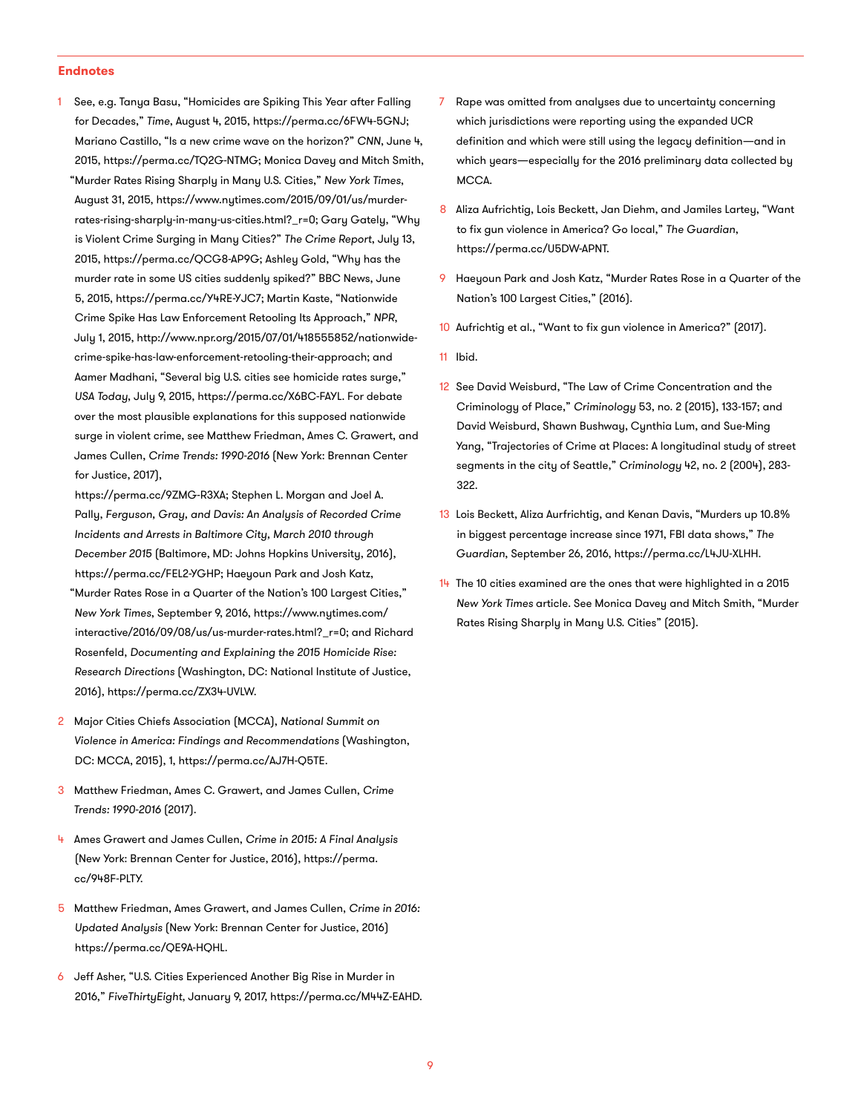#### **Endnotes**

- See, e.g. Tanya Basu, "Homicides are Spiking This Year after Falling for Decades," *Time*, August 4, 2015, [https://perma.cc/6FW4-5GNJ;](https://perma.cc/6FW4-5GNJ) Mariano Castillo, "Is a new crime wave on the horizon?" *CNN*, June 4, 2015, [https://perma.cc/TQ2G-NTMG;](https://perma.cc/TQ2G-NTMG) Monica Davey and Mitch Smith,
- "Murder Rates Rising Sharply in Many U.S. Cities," *New York Times*, August 31, 2015, [https://www.nytimes.com/2015/09/01/us/murder](https://www.nytimes.com/2015/09/01/us/murder-rates-rising-sharply-in-many-us-cities.html?_r=0)[rates-rising-sharply-in-many-us-cities.html?\\_r=0](https://www.nytimes.com/2015/09/01/us/murder-rates-rising-sharply-in-many-us-cities.html?_r=0); Gary Gately, "Why is Violent Crime Surging in Many Cities?" *The Crime Report*, July 13, 2015, [https://perma.cc/QCG8-AP9G;](https://perma.cc/QCG8-AP9G) Ashley Gold, "Why has the murder rate in some US cities suddenly spiked?" BBC News, June 5, 2015, [https://perma.cc/Y4RE-YJC7;](https://perma.cc/Y4RE-YJC7) Martin Kaste, "Nationwide Crime Spike Has Law Enforcement Retooling Its Approach," *NPR*, July 1, 2015,<http://www.npr.org/2015/07/01/418555852/nationwide>crime-spike-has-law-enforcement-retooling-their-approach; and Aamer Madhani, "Several big U.S. cities see homicide rates surge," *USA Today*, July 9, 2015, <https://perma.cc/X6BC-FAYL>. For debate over the most plausible explanations for this supposed nationwide surge in violent crime, see Matthew Friedman, Ames C. Grawert, and James Cullen, *Crime Trends: 1990-2016* (New York: Brennan Center for Justice, 2017),
- [https://perma.cc/9ZMG-R3XA;](https://perma.cc/9ZMG-R3XA) Stephen L. Morgan and Joel A. Pally, *Ferguson, Gray, and Davis: An Analysis of Recorded Crime Incidents and Arrests in Baltimore City, March 2010 through December 2015* (Baltimore, MD: Johns Hopkins University, 2016), [https://perma.cc/FEL2-YGHP;](https://perma.cc/FEL2-YGHP) Haeyoun Park and Josh Katz,
- "Murder Rates Rose in a Quarter of the Nation's 100 Largest Cities," *New York Times*, September 9, 2016, [https://www.nytimes.com/](https://www.nytimes.com/interactive/2016/09/08/us/us-murder-rates.html?_r=0) [interactive/2016/09/08/us/us-murder-rates.html?\\_r=0](https://www.nytimes.com/interactive/2016/09/08/us/us-murder-rates.html?_r=0); and Richard Rosenfeld, *Documenting and Explaining the 2015 Homicide Rise: Research Directions* (Washington, DC: National Institute of Justice, 2016), [https://perma.cc/ZX34-UVLW.](https://perma.cc/ZX34-UVLW)
- 2 Major Cities Chiefs Association (MCCA), *National Summit on Violence in America: Findings and Recommendations* (Washington, DC: MCCA, 2015), 1,<https://perma.cc/AJ7H-Q5TE>.
- 3 Matthew Friedman, Ames C. Grawert, and James Cullen, *Crime Trends: 1990-2016* (2017).
- 4 Ames Grawert and James Cullen, *Crime in 2015: A Final Analysis* (New York: Brennan Center for Justice, 2016), h[ttps://perma.](https://perma.cc/948F-PLTY) [cc/948F-PLTY.](https://perma.cc/948F-PLTY)
- 5 Matthew Friedman, Ames Grawert, and James Cullen, *Crime in 2016: Updated Analysis* (New York: Brennan Center for Justice, 2016) [https://perma.cc/QE9A-HQHL.](https://perma.cc/QE9A-HQHL)
- 6 Jeff Asher, "U.S. Cities Experienced Another Big Rise in Murder in 2016," *FiveThirtyEight*, January 9, 2017[, https://perma.cc/M44Z-EAHD](https://perma.cc/M44Z-EAHD).
- 7 Rape was omitted from analyses due to uncertainty concerning which jurisdictions were reporting using the expanded UCR definition and which were still using the legacy definition—and in which years—especially for the 2016 preliminary data collected by MCCA.
- 8 Aliza Aufrichtig, Lois Beckett, Jan Diehm, and Jamiles Lartey, "Want to fix gun violence in America? Go local," *The Guardian*, [https://perma.cc/U5DW-APNT.](https://perma.cc/U5DW-APNT )
- 9 Haeyoun Park and Josh Katz, "Murder Rates Rose in a Quarter of the Nation's 100 Largest Cities," (2016).
- 10 Aufrichtig et al., "Want to fix gun violence in America?" (2017).
- 11 Ibid.
- 12 See David Weisburd, "The Law of Crime Concentration and the Criminology of Place," *Criminology* 53, no. 2 (2015), 133-157; and David Weisburd, Shawn Bushway, Cynthia Lum, and Sue-Ming Yang, "Trajectories of Crime at Places: A longitudinal study of street segments in the city of Seattle," *Criminology* 42, no. 2 (2004), 283- 322.
- 13 Lois Beckett, Aliza Aurfrichtig, and Kenan Davis, "Murders up 10.8% in biggest percentage increase since 1971, FBI data shows," *The Guardian*, September 26, 2016, <https://perma.cc/L4JU-XLHH>.
- $14$  The 10 cities examined are the ones that were highlighted in a 2015 *New York Times* article. See Monica Davey and Mitch Smith, "Murder Rates Rising Sharply in Many U.S. Cities" (2015).